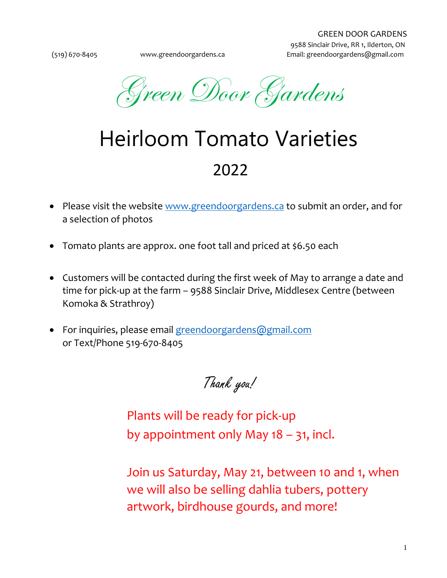Green Door Gardens

## Heirloom Tomato Varieties 2022

- Please visit the website [www.greendoorgardens.ca](file:///C:/Users/retab/Desktop/GREEN%20DOOR%20GARDENS/2021/www.greendoorgardens.ca) to submit an order, and for a selection of photos
- Tomato plants are approx. one foot tall and priced at \$6.50 each
- Customers will be contacted during the first week of May to arrange a date and time for pick-up at the farm – 9588 Sinclair Drive, Middlesex Centre (between Komoka & Strathroy)
- For inquiries, please email [greendoorgardens@gmail.com](mailto:greendoorgardens@gmail.com) or Text/Phone 519-670-8405

Thank you!

Plants will be ready for pick-up by appointment only May 18 – 31, incl.

Join us Saturday, May 21, between 10 and 1, when we will also be selling dahlia tubers, pottery artwork, birdhouse gourds, and more!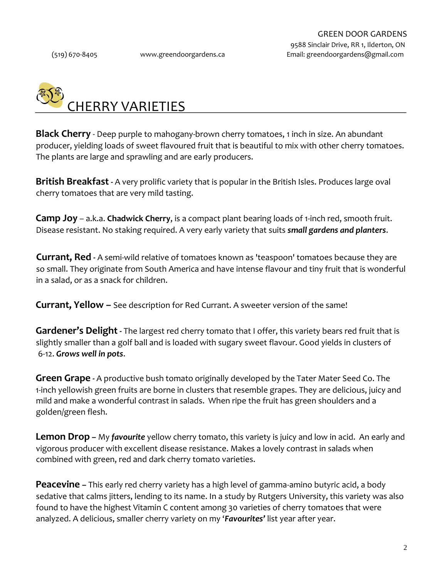

**Black Cherry** - Deep purple to mahogany-brown cherry tomatoes, 1 inch in size. An abundant producer, yielding loads of sweet flavoured fruit that is beautiful to mix with other cherry tomatoes. The plants are large and sprawling and are early producers.

**British Breakfast -** A very prolific variety that is popular in the British Isles. Produces large oval cherry tomatoes that are very mild tasting.

**Camp Joy** – a.k.a. **Chadwick Cherry**, is a compact plant bearing loads of 1-inch red, smooth fruit. Disease resistant. No staking required. A very early variety that suits *small gardens and planters*.

**Currant, Red -** A semi-wild relative of tomatoes known as 'teaspoon' tomatoes because they are so small. They originate from South America and have intense flavour and tiny fruit that is wonderful in a salad, or as a snack for children.

**Currant, Yellow –** See description for Red Currant. A sweeter version of the same!

**Gardener's Delight -** The largest red cherry tomato that I offer, this variety bears red fruit that is slightly smaller than a golf ball and is loaded with sugary sweet flavour. Good yields in clusters of 6-12. *Grows well in pots*.

**Green Grape -** A productive bush tomato originally developed by the Tater Mater Seed Co. The 1-inch yellowish green fruits are borne in clusters that resemble grapes. They are delicious, juicy and mild and make a wonderful contrast in salads. When ripe the fruit has green shoulders and a golden/green flesh.

**Lemon Drop –** My *favourite* yellow cherry tomato, this variety is juicy and low in acid. An early and vigorous producer with excellent disease resistance. Makes a lovely contrast in salads when combined with green, red and dark cherry tomato varieties.

**Peacevine –** This early red cherry variety has a high level of gamma-amino butyric acid, a body sedative that calms jitters, lending to its name. In a study by Rutgers University, this variety was also found to have the highest Vitamin C content among 30 varieties of cherry tomatoes that were analyzed. A delicious, smaller cherry variety on my '*Favourites'* list year after year.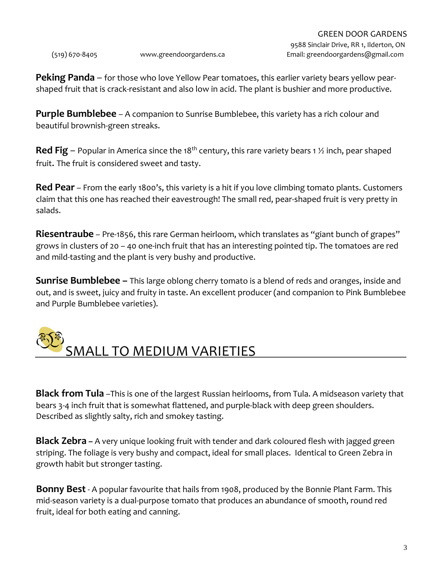**Peking Panda** – for those who love Yellow Pear tomatoes, this earlier variety bears yellow pearshaped fruit that is crack-resistant and also low in acid. The plant is bushier and more productive.

**Purple Bumblebee** – A companion to Sunrise Bumblebee, this variety has a rich colour and beautiful brownish-green streaks.

**Red Fig** – Popular in America since the 18<sup>th</sup> century, this rare variety bears 1  $\frac{1}{2}$  inch, pear shaped fruit. The fruit is considered sweet and tasty.

**Red Pear** – From the early 1800's, this variety is a hit if you love climbing tomato plants. Customers claim that this one has reached their eavestrough! The small red, pear-shaped fruit is very pretty in salads.

**Riesentraube** – Pre-1856, this rare German heirloom, which translates as "giant bunch of grapes" grows in clusters of 20 – 40 one-inch fruit that has an interesting pointed tip. The tomatoes are red and mild-tasting and the plant is very bushy and productive.

**Sunrise Bumblebee –** This large oblong cherry tomato is a blend of reds and oranges, inside and out, and is sweet, juicy and fruity in taste. An excellent producer (and companion to Pink Bumblebee and Purple Bumblebee varieties).



**Black from Tula** –This is one of the largest Russian heirlooms, from Tula. A midseason variety that bears 3-4 inch fruit that is somewhat flattened, and purple-black with deep green shoulders. Described as slightly salty, rich and smokey tasting.

**Black Zebra –** A very unique looking fruit with tender and dark coloured flesh with jagged green striping. The foliage is very bushy and compact, ideal for small places. Identical to Green Zebra in growth habit but stronger tasting.

**Bonny Best** - A popular favourite that hails from 1908, produced by the Bonnie Plant Farm. This mid-season variety is a dual-purpose tomato that produces an abundance of smooth, round red fruit, ideal for both eating and canning.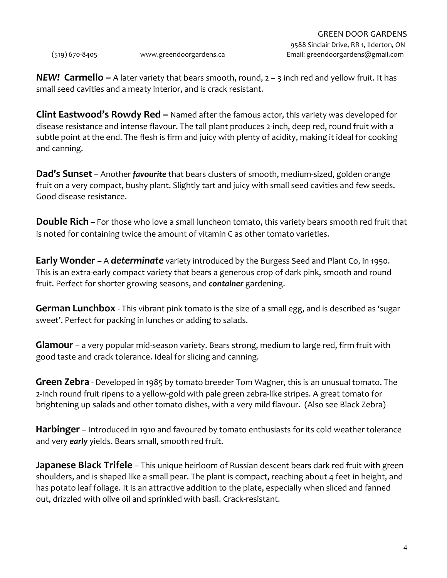(519) 670-8405 www.greendoorgardens.ca Email: greendoorgardens@gmail.com

*NEW!* **Carmello –** A later variety that bears smooth, round, 2 – 3 inch red and yellow fruit. It has small seed cavities and a meaty interior, and is crack resistant.

**Clint Eastwood's Rowdy Red –** Named after the famous actor, this variety was developed for disease resistance and intense flavour. The tall plant produces 2-inch, deep red, round fruit with a subtle point at the end. The flesh is firm and juicy with plenty of acidity, making it ideal for cooking and canning.

**Dad's Sunset** – Another *favourite* that bears clusters of smooth, medium-sized, golden orange fruit on a very compact, bushy plant. Slightly tart and juicy with small seed cavities and few seeds. Good disease resistance.

**Double Rich** – For those who love a small luncheon tomato, this variety bears smooth red fruit that is noted for containing twice the amount of vitamin C as other tomato varieties.

**Early Wonder** – A *determinate* variety introduced by the Burgess Seed and Plant Co, in 1950. This is an extra-early compact variety that bears a generous crop of dark pink, smooth and round fruit. Perfect for shorter growing seasons, and *container* gardening.

**German Lunchbox** - This vibrant pink tomato is the size of a small egg, and is described as 'sugar sweet'. Perfect for packing in lunches or adding to salads.

**Glamour** – a very popular mid-season variety. Bears strong, medium to large red, firm fruit with good taste and crack tolerance. Ideal for slicing and canning.

**Green Zebra** - Developed in 1985 by tomato breeder Tom Wagner, this is an unusual tomato. The 2-inch round fruit ripens to a yellow-gold with pale green zebra-like stripes. A great tomato for brightening up salads and other tomato dishes, with a very mild flavour. (Also see Black Zebra)

**Harbinger** – Introduced in 1910 and favoured by tomato enthusiasts for its cold weather tolerance and very *early* yields. Bears small, smooth red fruit.

**Japanese Black Trifele** – This unique heirloom of Russian descent bears dark red fruit with green shoulders, and is shaped like a small pear. The plant is compact, reaching about 4 feet in height, and has potato leaf foliage. It is an attractive addition to the plate, especially when sliced and fanned out, drizzled with olive oil and sprinkled with basil. Crack-resistant.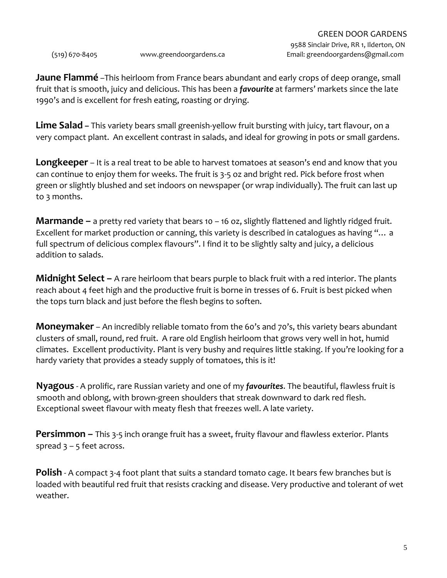**Jaune Flammé** –This heirloom from France bears abundant and early crops of deep orange, small fruit that is smooth, juicy and delicious. This has been a *favourite* at farmers' markets since the late 1990's and is excellent for fresh eating, roasting or drying.

**Lime Salad –** This variety bears small greenish-yellow fruit bursting with juicy, tart flavour, on a very compact plant. An excellent contrast in salads, and ideal for growing in pots or small gardens.

**Longkeeper** – It is a real treat to be able to harvest tomatoes at season's end and know that you can continue to enjoy them for weeks. The fruit is 3-5 oz and bright red. Pick before frost when green or slightly blushed and set indoors on newspaper (or wrap individually). The fruit can last up to 3 months.

**Marmande –** a pretty red variety that bears 10 – 16 oz, slightly flattened and lightly ridged fruit. Excellent for market production or canning, this variety is described in catalogues as having "… a full spectrum of delicious complex flavours". I find it to be slightly salty and juicy, a delicious addition to salads.

**Midnight Select –** A rare heirloom that bears purple to black fruit with a red interior. The plants reach about 4 feet high and the productive fruit is borne in tresses of 6. Fruit is best picked when the tops turn black and just before the flesh begins to soften.

**Moneymaker** – An incredibly reliable tomato from the 60's and 70's, this variety bears abundant clusters of small, round, red fruit. A rare old English heirloom that grows very well in hot, humid climates. Excellent productivity. Plant is very bushy and requires little staking. If you're looking for a hardy variety that provides a steady supply of tomatoes, this is it!

**Nyagous** - A prolific, rare Russian variety and one of my *favourites*. The beautiful, flawless fruit is smooth and oblong, with brown-green shoulders that streak downward to dark red flesh. Exceptional sweet flavour with meaty flesh that freezes well. A late variety.

**Persimmon –** This 3-5 inch orange fruit has a sweet, fruity flavour and flawless exterior. Plants spread  $3 - 5$  feet across.

**Polish** - A compact 3-4 foot plant that suits a standard tomato cage. It bears few branches but is loaded with beautiful red fruit that resists cracking and disease. Very productive and tolerant of wet weather.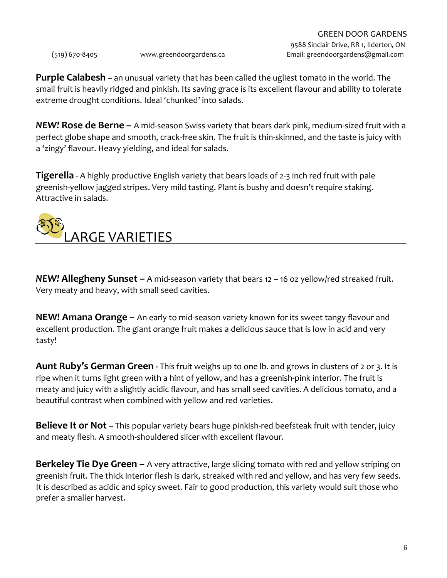**Purple Calabesh** – an unusual variety that has been called the ugliest tomato in the world. The small fruit is heavily ridged and pinkish. Its saving grace is its excellent flavour and ability to tolerate extreme drought conditions. Ideal 'chunked' into salads.

*NEW!* **Rose de Berne –** A mid-season Swiss variety that bears dark pink, medium-sized fruit with a perfect globe shape and smooth, crack-free skin. The fruit is thin-skinned, and the taste is juicy with a 'zingy' flavour. Heavy yielding, and ideal for salads.

**Tigerella** - A highly productive English variety that bears loads of 2-3 inch red fruit with pale greenish-yellow jagged stripes. Very mild tasting. Plant is bushy and doesn't require staking. Attractive in salads.



*NEW!* **Allegheny Sunset –** A mid-season variety that bears 12 – 16 oz yellow/red streaked fruit. Very meaty and heavy, with small seed cavities.

**NEW! Amana Orange –** An early to mid-season variety known for its sweet tangy flavour and excellent production. The giant orange fruit makes a delicious sauce that is low in acid and very tasty!

**Aunt Ruby's German Green -** This fruit weighs up to one lb. and grows in clusters of 2 or 3. It is ripe when it turns light green with a hint of yellow, and has a greenish-pink interior. The fruit is meaty and juicy with a slightly acidic flavour, and has small seed cavities. A delicious tomato, and a beautiful contrast when combined with yellow and red varieties.

**Believe It or Not** – This popular variety bears huge pinkish-red beefsteak fruit with tender, juicy and meaty flesh. A smooth-shouldered slicer with excellent flavour.

**Berkeley Tie Dye Green –** A very attractive, large slicing tomato with red and yellow striping on greenish fruit. The thick interior flesh is dark, streaked with red and yellow, and has very few seeds. It is described as acidic and spicy sweet. Fair to good production, this variety would suit those who prefer a smaller harvest.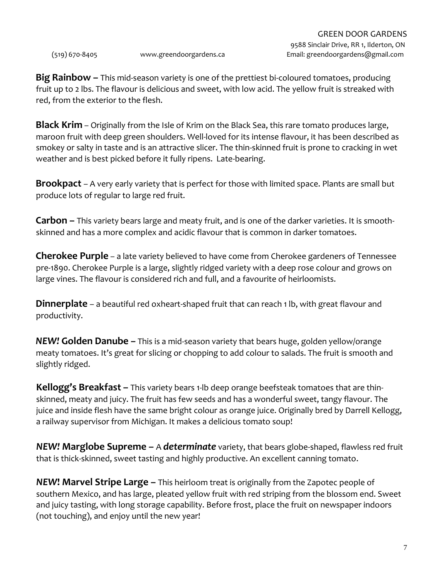**Big Rainbow –** This mid-season variety is one of the prettiest bi-coloured tomatoes, producing fruit up to 2 lbs. The flavour is delicious and sweet, with low acid. The yellow fruit is streaked with red, from the exterior to the flesh.

**Black Krim** – Originally from the Isle of Krim on the Black Sea, this rare tomato produces large, maroon fruit with deep green shoulders. Well-loved for its intense flavour, it has been described as smokey or salty in taste and is an attractive slicer. The thin-skinned fruit is prone to cracking in wet weather and is best picked before it fully ripens. Late-bearing.

**Brookpact** – A very early variety that is perfect for those with limited space. Plants are small but produce lots of regular to large red fruit.

**Carbon –** This variety bears large and meaty fruit, and is one of the darker varieties. It is smoothskinned and has a more complex and acidic flavour that is common in darker tomatoes.

**Cherokee Purple** – a late variety believed to have come from Cherokee gardeners of Tennessee pre-1890. Cherokee Purple is a large, slightly ridged variety with a deep rose colour and grows on large vines. The flavour is considered rich and full, and a favourite of heirloomists.

**Dinnerplate** – a beautiful red oxheart-shaped fruit that can reach 1 lb, with great flavour and productivity.

*NEW!* **Golden Danube** *–* This is a mid-season variety that bears huge, golden yellow/orange meaty tomatoes. It's great for slicing or chopping to add colour to salads. The fruit is smooth and slightly ridged.

**Kellogg's Breakfast –** This variety bears 1-lb deep orange beefsteak tomatoes that are thinskinned, meaty and juicy. The fruit has few seeds and has a wonderful sweet, tangy flavour. The juice and inside flesh have the same bright colour as orange juice. Originally bred by Darrell Kellogg, a railway supervisor from Michigan. It makes a delicious tomato soup!

*NEW!* **Marglobe Supreme –** A *determinate* variety, that bears globe-shaped, flawless red fruit that is thick-skinned, sweet tasting and highly productive. An excellent canning tomato.

**NEW! Marvel Stripe Large –** This heirloom treat is originally from the Zapotec people of southern Mexico, and has large, pleated yellow fruit with red striping from the blossom end. Sweet and juicy tasting, with long storage capability. Before frost, place the fruit on newspaper indoors (not touching), and enjoy until the new year!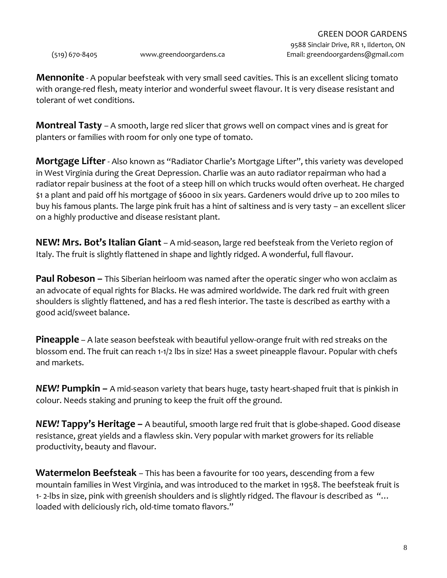**Mennonite** - A popular beefsteak with very small seed cavities. This is an excellent slicing tomato with orange-red flesh, meaty interior and wonderful sweet flavour. It is very disease resistant and tolerant of wet conditions.

**Montreal Tasty** – A smooth, large red slicer that grows well on compact vines and is great for planters or families with room for only one type of tomato.

**Mortgage Lifter**- Also known as "Radiator Charlie's Mortgage Lifter", this variety was developed in West Virginia during the Great Depression. Charlie was an auto radiator repairman who had a radiator repair business at the foot of a steep hill on which trucks would often overheat. He charged \$1 a plant and paid off his mortgage of \$6000 in six years. Gardeners would drive up to 200 miles to buy his famous plants. The large pink fruit has a hint of saltiness and is very tasty – an excellent slicer on a highly productive and disease resistant plant.

**NEW! Mrs. Bot's Italian Giant** – A mid-season, large red beefsteak from the Verieto region of Italy. The fruit is slightly flattened in shape and lightly ridged. A wonderful, full flavour.

**Paul Robeson –** This Siberian heirloom was named after the operatic singer who won acclaim as an advocate of equal rights for Blacks. He was admired worldwide. The dark red fruit with green shoulders is slightly flattened, and has a red flesh interior. The taste is described as earthy with a good acid/sweet balance.

**Pineapple** – A late season beefsteak with beautiful yellow-orange fruit with red streaks on the blossom end. The fruit can reach 1-1/2 lbs in size! Has a sweet pineapple flavour. Popular with chefs and markets.

*NEW!* **Pumpkin –** A mid-season variety that bears huge, tasty heart-shaped fruit that is pinkish in colour. Needs staking and pruning to keep the fruit off the ground.

*NEW!* **Tappy's Heritage –** A beautiful, smooth large red fruit that is globe-shaped. Good disease resistance, great yields and a flawless skin. Very popular with market growers for its reliable productivity, beauty and flavour.

**Watermelon Beefsteak** – This has been a favourite for 100 years, descending from a few mountain families in West Virginia, and was introduced to the market in 1958. The beefsteak fruit is 1- 2-lbs in size, pink with greenish shoulders and is slightly ridged. The flavour is described as "… loaded with deliciously rich, old-time tomato flavors."